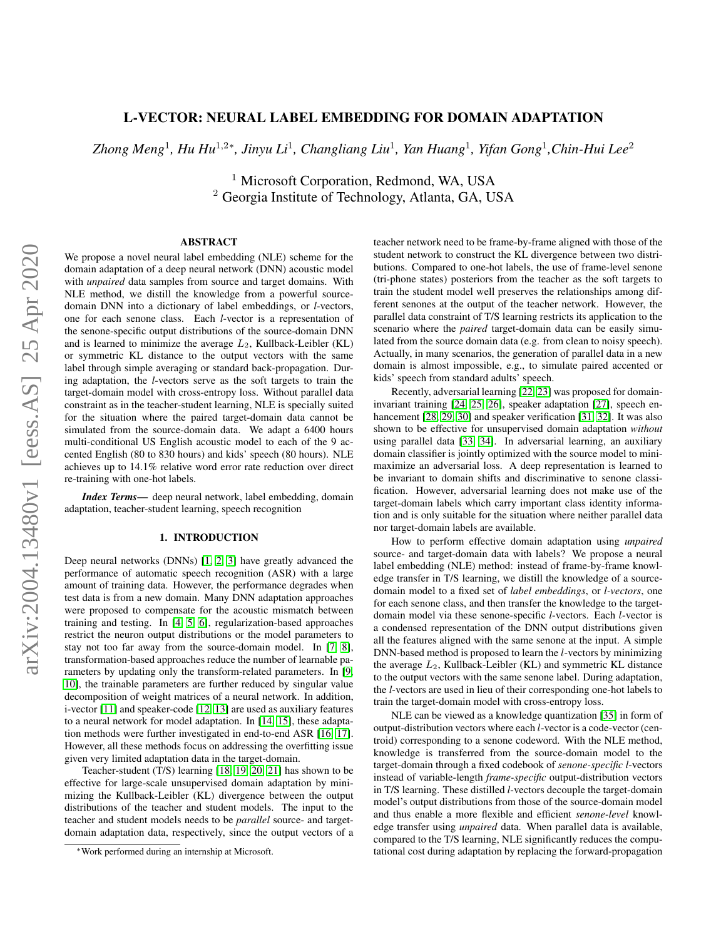# L-VECTOR: NEURAL LABEL EMBEDDING FOR DOMAIN ADAPTATION

*Zhong Meng*<sup>1</sup> *, Hu Hu*<sup>1</sup>,2<sup>∗</sup> *, Jinyu Li*<sup>1</sup> *, Changliang Liu*<sup>1</sup> *, Yan Huang*<sup>1</sup> *, Yifan Gong*<sup>1</sup> *,Chin-Hui Lee*<sup>2</sup>

<sup>1</sup> Microsoft Corporation, Redmond, WA, USA <sup>2</sup> Georgia Institute of Technology, Atlanta, GA, USA

# ABSTRACT

We propose a novel neural label embedding (NLE) scheme for the domain adaptation of a deep neural network (DNN) acoustic model with *unpaired* data samples from source and target domains. With NLE method, we distill the knowledge from a powerful sourcedomain DNN into a dictionary of label embeddings, or *l*-vectors, one for each senone class. Each *l*-vector is a representation of the senone-specific output distributions of the source-domain DNN and is learned to minimize the average  $L_2$ , Kullback-Leibler (KL) or symmetric KL distance to the output vectors with the same label through simple averaging or standard back-propagation. During adaptation, the *l*-vectors serve as the soft targets to train the target-domain model with cross-entropy loss. Without parallel data constraint as in the teacher-student learning, NLE is specially suited for the situation where the paired target-domain data cannot be simulated from the source-domain data. We adapt a 6400 hours multi-conditional US English acoustic model to each of the 9 accented English (80 to 830 hours) and kids' speech (80 hours). NLE achieves up to 14.1% relative word error rate reduction over direct re-training with one-hot labels.

*Index Terms*— deep neural network, label embedding, domain adaptation, teacher-student learning, speech recognition

# 1. INTRODUCTION

Deep neural networks (DNNs) [\[1,](#page-4-0) [2,](#page-4-1) [3\]](#page-4-2) have greatly advanced the performance of automatic speech recognition (ASR) with a large amount of training data. However, the performance degrades when test data is from a new domain. Many DNN adaptation approaches were proposed to compensate for the acoustic mismatch between training and testing. In [\[4,](#page-4-3) [5,](#page-4-4) [6\]](#page-4-5), regularization-based approaches restrict the neuron output distributions or the model parameters to stay not too far away from the source-domain model. In [\[7,](#page-4-6) [8\]](#page-4-7), transformation-based approaches reduce the number of learnable parameters by updating only the transform-related parameters. In [\[9,](#page-4-8) [10\]](#page-4-9), the trainable parameters are further reduced by singular value decomposition of weight matrices of a neural network. In addition, i-vector [\[11\]](#page-4-10) and speaker-code [\[12,](#page-4-11) [13\]](#page-4-12) are used as auxiliary features to a neural network for model adaptation. In [\[14,](#page-4-13) [15\]](#page-4-14), these adaptation methods were further investigated in end-to-end ASR [\[16,](#page-4-15) [17\]](#page-4-16). However, all these methods focus on addressing the overfitting issue given very limited adaptation data in the target-domain.

Teacher-student (T/S) learning [\[18,](#page-4-17) [19,](#page-4-18) [20,](#page-4-19) [21\]](#page-4-20) has shown to be effective for large-scale unsupervised domain adaptation by minimizing the Kullback-Leibler (KL) divergence between the output distributions of the teacher and student models. The input to the teacher and student models needs to be *parallel* source- and targetdomain adaptation data, respectively, since the output vectors of a

teacher network need to be frame-by-frame aligned with those of the student network to construct the KL divergence between two distributions. Compared to one-hot labels, the use of frame-level senone (tri-phone states) posteriors from the teacher as the soft targets to train the student model well preserves the relationships among different senones at the output of the teacher network. However, the parallel data constraint of T/S learning restricts its application to the scenario where the *paired* target-domain data can be easily simulated from the source domain data (e.g. from clean to noisy speech). Actually, in many scenarios, the generation of parallel data in a new domain is almost impossible, e.g., to simulate paired accented or kids' speech from standard adults' speech.

Recently, adversarial learning [\[22,](#page-4-21) [23\]](#page-4-22) was proposed for domaininvariant training [\[24,](#page-4-23) [25,](#page-4-24) [26\]](#page-4-25), speaker adaptation [\[27\]](#page-4-26), speech en-hancement [\[28,](#page-4-27) [29,](#page-4-28) [30\]](#page-4-29) and speaker verification [\[31,](#page-4-30) [32\]](#page-4-31). It was also shown to be effective for unsupervised domain adaptation *without* using parallel data [\[33,](#page-4-32) [34\]](#page-4-33). In adversarial learning, an auxiliary domain classifier is jointly optimized with the source model to minimaximize an adversarial loss. A deep representation is learned to be invariant to domain shifts and discriminative to senone classification. However, adversarial learning does not make use of the target-domain labels which carry important class identity information and is only suitable for the situation where neither parallel data nor target-domain labels are available.

How to perform effective domain adaptation using *unpaired* source- and target-domain data with labels? We propose a neural label embedding (NLE) method: instead of frame-by-frame knowledge transfer in T/S learning, we distill the knowledge of a sourcedomain model to a fixed set of *label embeddings*, or *l-vectors*, one for each senone class, and then transfer the knowledge to the targetdomain model via these senone-specific *l*-vectors. Each l-vector is a condensed representation of the DNN output distributions given all the features aligned with the same senone at the input. A simple DNN-based method is proposed to learn the l-vectors by minimizing the average  $L_2$ , Kullback-Leibler (KL) and symmetric KL distance to the output vectors with the same senone label. During adaptation, the *l*-vectors are used in lieu of their corresponding one-hot labels to train the target-domain model with cross-entropy loss.

NLE can be viewed as a knowledge quantization [\[35\]](#page-4-34) in form of output-distribution vectors where each l-vector is a code-vector (centroid) corresponding to a senone codeword. With the NLE method, knowledge is transferred from the source-domain model to the target-domain through a fixed codebook of *senone-specific l*-vectors instead of variable-length *frame-specific* output-distribution vectors in T/S learning. These distilled *l*-vectors decouple the target-domain model's output distributions from those of the source-domain model and thus enable a more flexible and efficient *senone-level* knowledge transfer using *unpaired* data. When parallel data is available, compared to the T/S learning, NLE significantly reduces the computational cost during adaptation by replacing the forward-propagation

<sup>∗</sup>Work performed during an internship at Microsoft.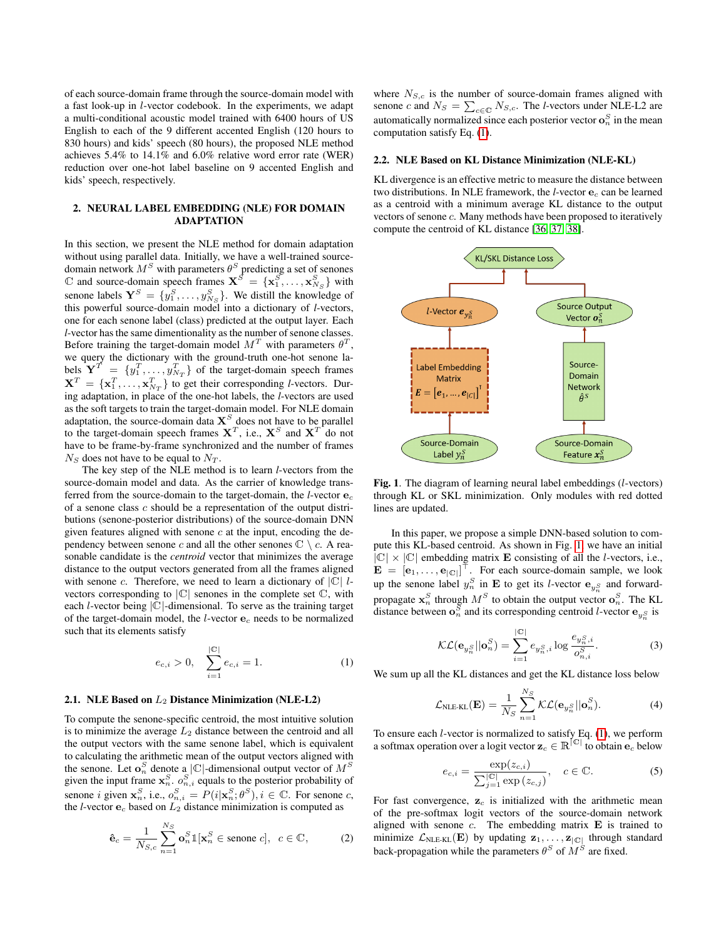of each source-domain frame through the source-domain model with a fast look-up in l-vector codebook. In the experiments, we adapt a multi-conditional acoustic model trained with 6400 hours of US English to each of the 9 different accented English (120 hours to 830 hours) and kids' speech (80 hours), the proposed NLE method achieves 5.4% to 14.1% and 6.0% relative word error rate (WER) reduction over one-hot label baseline on 9 accented English and kids' speech, respectively.

# 2. NEURAL LABEL EMBEDDING (NLE) FOR DOMAIN ADAPTATION

In this section, we present the NLE method for domain adaptation without using parallel data. Initially, we have a well-trained sourcedomain network  $M^S$  with parameters  $\theta^S$  predicting a set of senones  $\mathbb C$  and source-domain speech frames  $\mathbf{X}^{\vec{S}} = {\mathbf{x}_1^S, \dots, \mathbf{x}_{N_S}^S}$  with senone labels  $\mathbf{Y}^{S} = \{y_1^{S}, \ldots, y_{N_S}^{S}\}$ . We distill the knowledge of this powerful source-domain model into a dictionary of *l*-vectors, one for each senone label (class) predicted at the output layer. Each *l*-vector has the same dimentionality as the number of senone classes. Before training the target-domain model  $M<sup>T</sup>$  with parameters  $\theta<sup>T</sup>$ , we query the dictionary with the ground-truth one-hot senone labels  $\mathbf{Y}^T = \{y_1^T, \dots, y_{N_T}^T\}$  of the target-domain speech frames  $X^T = \{x_1^T, \dots, x_{N_T}^T\}$  to get their corresponding *l*-vectors. During adaptation, in place of the one-hot labels, the *l*-vectors are used as the soft targets to train the target-domain model. For NLE domain adaptation, the source-domain data  $\mathbf{X}^S$  does not have to be parallel to the target-domain speech frames  $X^T$ , i.e.,  $X^S$  and  $X^T$  do not have to be frame-by-frame synchronized and the number of frames  $N<sub>S</sub>$  does not have to be equal to  $N<sub>T</sub>$ .

The key step of the NLE method is to learn *l*-vectors from the source-domain model and data. As the carrier of knowledge transferred from the source-domain to the target-domain, the *l*-vector e<sup>c</sup> of a senone class  $c$  should be a representation of the output distributions (senone-posterior distributions) of the source-domain DNN given features aligned with senone  $c$  at the input, encoding the dependency between senone c and all the other senones  $\mathbb{C} \setminus c$ . A reasonable candidate is the *centroid* vector that minimizes the average distance to the output vectors generated from all the frames aligned with senone c. Therefore, we need to learn a dictionary of  $|C|$  lvectors corresponding to  $|C|$  senones in the complete set  $C$ , with each *l*-vector being  $|\mathbb{C}|$ -dimensional. To serve as the training target of the target-domain model, the *l*-vector  $e_c$  needs to be normalized such that its elements satisfy

$$
e_{c,i} > 0, \quad \sum_{i=1}^{|\mathbb{C}|} e_{c,i} = 1. \tag{1}
$$

# 2.1. NLE Based on  $L_2$  Distance Minimization (NLE-L2)

To compute the senone-specific centroid, the most intuitive solution is to minimize the average  $L_2$  distance between the centroid and all the output vectors with the same senone label, which is equivalent to calculating the arithmetic mean of the output vectors aligned with the senone. Let  $\mathbf{o}_n^S$  denote a  $|\mathbb{C}|$ -dimensional output vector of  $M^S$ given the input frame  $x_n^S$ .  $o_{n,i}^S$  equals to the posterior probability of senone *i* given  $\mathbf{x}_n^S$ , i.e.,  $o_{n,i}^S = P(i|\mathbf{x}_n^S; \theta^S), i \in \mathbb{C}$ . For senone *c*, the *l*-vector  $e_c$  based on  $L_2$  distance minimization is computed as

$$
\hat{\mathbf{e}}_c = \frac{1}{N_{S,c}} \sum_{n=1}^{N_S} \mathbf{o}_n^S \mathbb{1}[\mathbf{x}_n^S \in \text{senone } c], \ \ c \in \mathbb{C}, \tag{2}
$$

where  $N_{S,c}$  is the number of source-domain frames aligned with senone *c* and  $N_S = \sum_{c \in \mathbb{C}} N_{S,c}$ . The *l*-vectors under NLE-L2 are automatically normalized since each posterior vector  $\mathbf{o}_n^S$  in the mean computation satisfy Eq. [\(1\)](#page-1-0).

### <span id="page-1-2"></span>2.2. NLE Based on KL Distance Minimization (NLE-KL)

KL divergence is an effective metric to measure the distance between two distributions. In NLE framework, the *l*-vector  $e_c$  can be learned as a centroid with a minimum average KL distance to the output vectors of senone c. Many methods have been proposed to iteratively compute the centroid of KL distance [\[36,](#page-4-35) [37,](#page-4-36) [38\]](#page-4-37).



<span id="page-1-1"></span>Fig. 1. The diagram of learning neural label embeddings (l-vectors) through KL or SKL minimization. Only modules with red dotted lines are updated.

In this paper, we propose a simple DNN-based solution to compute this KL-based centroid. As shown in Fig. [1,](#page-1-1) we have an initial  $|\mathbb{C}| \times |\mathbb{C}|$  embedding matrix **E** consisting of all the *l*-vectors, i.e.,  $\mathbf{E} = [\mathbf{e}_1, \dots, \mathbf{e}_{|\mathbb{C}|}]^\top$ . For each source-domain sample, we look up the senone label  $y_n^S$  in **E** to get its *l*-vector  $\mathbf{e}_{y_n^S}$  and forwardpropagate  $\mathbf{x}_n^S$  through  $M^S$  to obtain the output vector  $\mathbf{o}_n^S$ . The KL distance between  $\mathbf{o}_n^S$  and its corresponding centroid *l*-vector  $\mathbf{e}_{y_n^S}$  is

$$
\mathcal{KL}(\mathbf{e}_{y_n^S}||\mathbf{o}_n^S) = \sum_{i=1}^{|C|} e_{y_n^S,i} \log \frac{e_{y_n^S,i}}{o_{n,i}^S}.
$$
 (3)

<span id="page-1-0"></span>We sum up all the KL distances and get the KL distance loss below

<span id="page-1-4"></span>
$$
\mathcal{L}_{\text{NLE-KL}}(\mathbf{E}) = \frac{1}{N_S} \sum_{n=1}^{N_S} \mathcal{KL}(\mathbf{e}_{y_n^S} || \mathbf{o}_n^S).
$$
 (4)

To ensure each l-vector is normalized to satisfy Eq. [\(1\)](#page-1-0), we perform a softmax operation over a logit vector  $\mathbf{z}_c \in \mathbb{R}^{|\mathbb{C}|}$  to obtain  $\mathbf{e}_c$  below

$$
e_{c,i} = \frac{\exp(z_{c,i})}{\sum_{j=1}^{|\mathbb{C}|} \exp(z_{c,j})}, \quad c \in \mathbb{C}.
$$
 (5)

<span id="page-1-3"></span>For fast convergence,  $z_c$  is initialized with the arithmetic mean of the pre-softmax logit vectors of the source-domain network aligned with senone  $c$ . The embedding matrix  $\bf{E}$  is trained to minimize  $\mathcal{L}_{NLE-KL}(\mathbf{E})$  by updating  $\mathbf{z}_1, \ldots, \mathbf{z}_{|\mathbb{C}|}$  through standard back-propagation while the parameters  $\theta^S$  of  $M^S$  are fixed.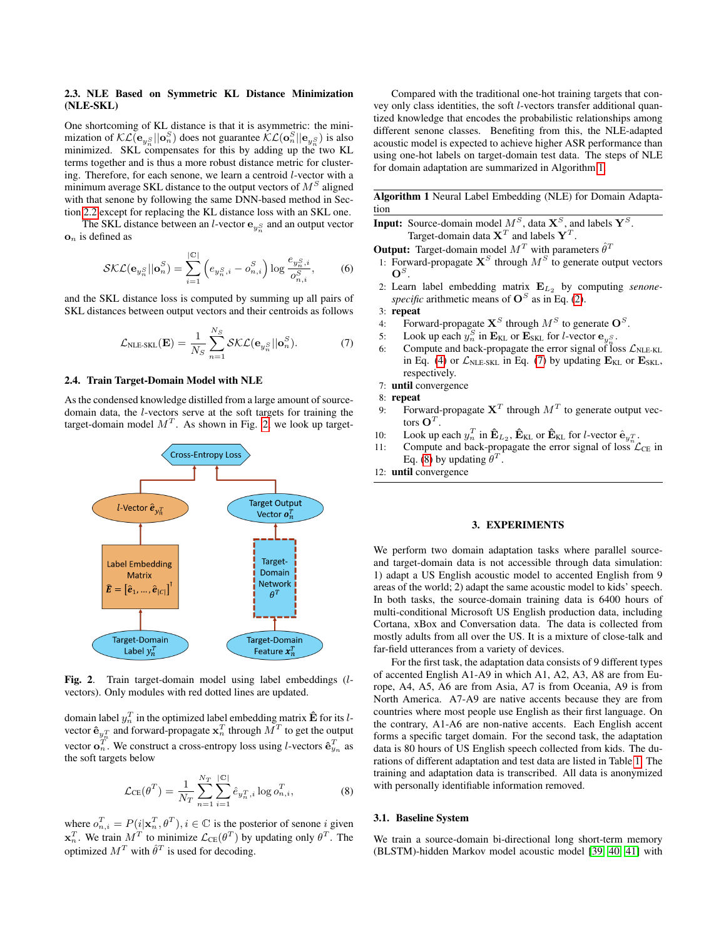# <span id="page-2-4"></span>2.3. NLE Based on Symmetric KL Distance Minimization (NLE-SKL)

One shortcoming of KL distance is that it is asymmetric: the minimization of  $\mathcal{KL}(\mathbf{e}_{y_n^S}||\mathbf{o}_n^S)$  does not guarantee  $\mathcal{KL}(\mathbf{o}_n^S||\mathbf{e}_{y_n^S})$  is also minimized. SKL compensates for this by adding up the two KL terms together and is thus a more robust distance metric for clustering. Therefore, for each senone, we learn a centroid l-vector with a minimum average SKL distance to the output vectors of  $M^S$  aligned with that senone by following the same DNN-based method in Section [2.2](#page-1-2) except for replacing the KL distance loss with an SKL one.

The SKL distance between an *l*-vector  $\mathbf{e}_{y_n^S}$  and an output vector  $\mathbf{o}_n$  is defined as

$$
\mathcal{SKL}(\mathbf{e}_{y_n^S}||\mathbf{o}_n^S) = \sum_{i=1}^{|\mathbb{C}|} \left( e_{y_n^S,i} - o_{n,i}^S \right) \log \frac{e_{y_n^S,i}}{o_{n,i}^S},\tag{6}
$$

and the SKL distance loss is computed by summing up all pairs of SKL distances between output vectors and their centroids as follows

$$
\mathcal{L}_{\text{NLE-SKL}}(\mathbf{E}) = \frac{1}{N_S} \sum_{n=1}^{N_S} \mathcal{SKL}(\mathbf{e}_{y_n^S} || \mathbf{o}_n^S).
$$
 (7)

#### <span id="page-2-5"></span>2.4. Train Target-Domain Model with NLE

As the condensed knowledge distilled from a large amount of sourcedomain data, the l-vectors serve at the soft targets for training the target-domain model  $M<sup>T</sup>$ . As shown in Fig. [2,](#page-2-0) we look up target-



<span id="page-2-0"></span>Fig. 2. Train target-domain model using label embeddings (lvectors). Only modules with red dotted lines are updated.

domain label  $y_n^T$  in the optimized label embedding matrix  $\mathbf{\hat{E}}$  for its  $l$ vector  $\mathbf{\hat{e}}_{y_n^T}$  and forward-propagate  $\mathbf{x}_n^T$  through  $\vec{M}^T$  to get the output vector  $\mathbf{o}_n^T$ . We construct a cross-entropy loss using *l*-vectors  $\hat{\mathbf{e}}_{y_n}^T$  as the soft targets below

$$
\mathcal{L}_{CE}(\theta^T) = \frac{1}{N_T} \sum_{n=1}^{N_T} \sum_{i=1}^{|\mathbb{C}|} \hat{e}_{y_n^T, i} \log o_{n,i}^T,
$$
 (8)

where  $o_{n,i}^T = P(i|\mathbf{x}_n^T, \theta^T), i \in \mathbb{C}$  is the posterior of senone i given  $\mathbf{x}_n^T$ . We train  $M^T$  to minimize  $\mathcal{L}_{CE}(\theta^T)$  by updating only  $\theta^T$ . The optimized  $M^T$  with  $\hat{\theta}^T$  is used for decoding.

Compared with the traditional one-hot training targets that convey only class identities, the soft l-vectors transfer additional quantized knowledge that encodes the probabilistic relationships among different senone classes. Benefiting from this, the NLE-adapted acoustic model is expected to achieve higher ASR performance than using one-hot labels on target-domain test data. The steps of NLE for domain adaptation are summarized in Algorithm [1.](#page-2-1)

<span id="page-2-1"></span>Algorithm 1 Neural Label Embedding (NLE) for Domain Adaptation

**Input:** Source-domain model  $M^S$ , data  $\mathbf{X}^S$ , and labels  $\mathbf{Y}^S$ . Target-domain data  $X^T$  and labels  $Y^T$ .

- **Output:** Target-domain model  $M<sup>T</sup>$  with parameters  $\hat{\theta}^T$
- 1: Forward-propagate  $X^S$  through  $M^S$  to generate output vectors  $\mathbf{O}^S.$
- 2: Learn label embedding matrix  $E_{L_2}$  by computing *senone*specific arithmetic means of  $\mathbf{O}^S$  as in Eq. [\(2\)](#page-1-3).

3: repeat

- 4: Forward-propagate  $X^S$  through  $M^S$  to generate  $O^S$ .
- 5: Look up each  $y_n^S$  in  $\mathbf{E}_{\text{KL}}$  or  $\mathbf{E}_{\text{SKL}}$  for *l*-vector  $\mathbf{e}_{y_n^S}$ .
- <span id="page-2-2"></span>6: Compute and back-propagate the error signal of loss  $\mathcal{L}_{NLE-KL}$ in Eq. [\(4\)](#page-1-4) or  $\mathcal{L}_{NLE-SKL}$  in Eq. [\(7\)](#page-2-2) by updating  $\mathbf{E}_{KL}$  or  $\mathbf{E}_{SKL}$ , respectively.
- 7: until convergence
- 8: repeat
- 9: Forward-propagate  $X<sup>T</sup>$  through  $M<sup>T</sup>$  to generate output vectors  $\mathbf{O}^T$ .
- 10: Look up each  $y_n^T$  in  $\mathbf{\hat{E}}_{L_2}$ ,  $\mathbf{\hat{E}}_{KL}$  or  $\mathbf{\hat{E}}_{KL}$  for *l*-vector  $\mathbf{\hat{e}}_{y_n^T}$ .
- 11: Compute and back-propagate the error signal of loss  $\mathcal{L}_{CE}$  in Eq. [\(8\)](#page-2-3) by updating  $\theta^T$ .
- 12: until convergence

### 3. EXPERIMENTS

We perform two domain adaptation tasks where parallel sourceand target-domain data is not accessible through data simulation: 1) adapt a US English acoustic model to accented English from 9 areas of the world; 2) adapt the same acoustic model to kids' speech. In both tasks, the source-domain training data is 6400 hours of multi-conditional Microsoft US English production data, including Cortana, xBox and Conversation data. The data is collected from mostly adults from all over the US. It is a mixture of close-talk and far-field utterances from a variety of devices.

For the first task, the adaptation data consists of 9 different types of accented English A1-A9 in which A1, A2, A3, A8 are from Europe, A4, A5, A6 are from Asia, A7 is from Oceania, A9 is from North America. A7-A9 are native accents because they are from countries where most people use English as their first language. On the contrary, A1-A6 are non-native accents. Each English accent forms a specific target domain. For the second task, the adaptation data is 80 hours of US English speech collected from kids. The durations of different adaptation and test data are listed in Table [1.](#page-3-0) The training and adaptation data is transcribed. All data is anonymized with personally identifiable information removed.

# <span id="page-2-3"></span>3.1. Baseline System

We train a source-domain bi-directional long short-term memory (BLSTM)-hidden Markov model acoustic model [\[39,](#page-4-38) [40,](#page-4-39) [41\]](#page-4-40) with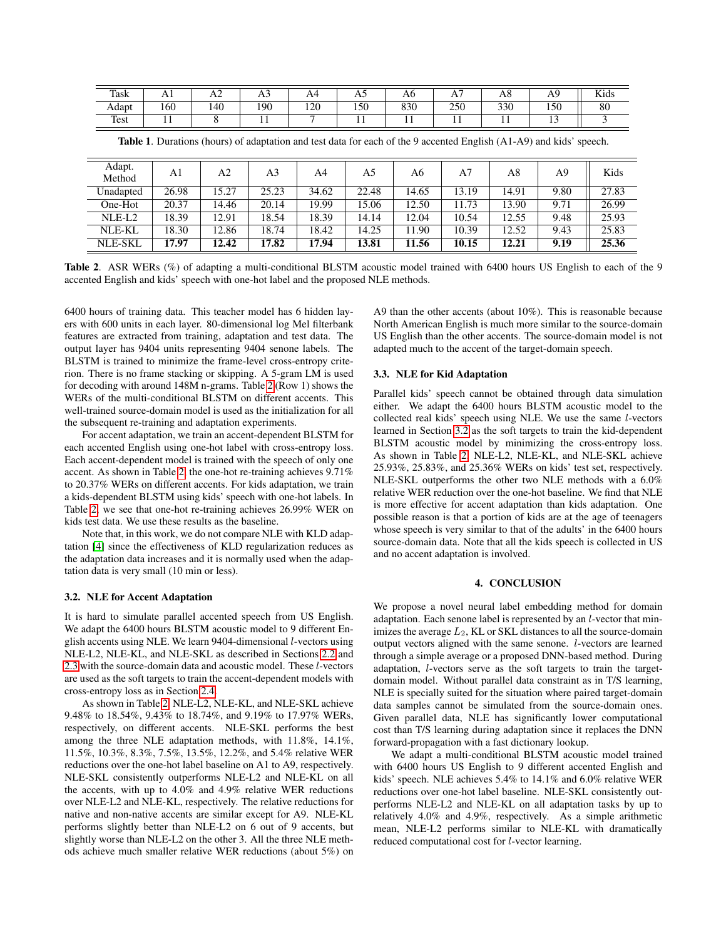| Task  | $\mathbf{A}$ | $\Delta$ | -<br>AJ | A4                       | $\mathbf{L}$ | Aб           | $\mathbf{r}$ | Ao  | $\mathbf{A}$  | T T<br>Kids |
|-------|--------------|----------|---------|--------------------------|--------------|--------------|--------------|-----|---------------|-------------|
| Adapt | 160          | 140      | 190     | 120                      | 150          | 830          | 250          | 330 | 150           | 80          |
| Test  | . .          |          | . .     | $\overline{\phantom{0}}$ | . .          | $\mathbf{r}$ | .            | . . | $\sim$<br>. . |             |

Adapt. Method A1  $\begin{array}{|c|c|c|c|c|c|c|c|c|} \hline \end{array}$  A2  $\begin{array}{|c|c|c|c|c|c|} \hline \end{array}$  A5  $\begin{array}{|c|c|c|c|c|} \hline \end{array}$  A6  $\begin{array}{|c|c|c|c|} \hline \end{array}$  A9  $\begin{array}{|c|c|c|c|} \hline \end{array}$  Kids Unadapted | 26.98 | 15.27 | 25.23 | 34.62 | 22.48 | 14.65 | 13.19 | 14.91 | 9.80 | 27.83 One-Hot 20.37 14.46 20.14 19.99 15.06 12.50 11.73 13.90 9.71 26.99 NLE-L2 18.39 12.91 18.54 18.39 14.14 12.04 10.54 12.55 9.48 25.93 NLE-KL 18.30 12.86 18.74 18.42 14.25 11.90 10.39 12.52 9.43 25.83 NLE-SKL 17.97 12.42 17.82 17.94 13.81 11.56 10.15 12.21 9.19 25.36

<span id="page-3-0"></span>Table 1. Durations (hours) of adaptation and test data for each of the 9 accented English (A1-A9) and kids' speech.

<span id="page-3-1"></span>Table 2. ASR WERs (%) of adapting a multi-conditional BLSTM acoustic model trained with 6400 hours US English to each of the 9 accented English and kids' speech with one-hot label and the proposed NLE methods.

6400 hours of training data. This teacher model has 6 hidden layers with 600 units in each layer. 80-dimensional log Mel filterbank features are extracted from training, adaptation and test data. The output layer has 9404 units representing 9404 senone labels. The BLSTM is trained to minimize the frame-level cross-entropy criterion. There is no frame stacking or skipping. A 5-gram LM is used for decoding with around 148M n-grams. Table [2](#page-3-1) (Row 1) shows the WERs of the multi-conditional BLSTM on different accents. This well-trained source-domain model is used as the initialization for all the subsequent re-training and adaptation experiments.

For accent adaptation, we train an accent-dependent BLSTM for each accented English using one-hot label with cross-entropy loss. Each accent-dependent model is trained with the speech of only one accent. As shown in Table [2,](#page-3-1) the one-hot re-training achieves 9.71% to 20.37% WERs on different accents. For kids adaptation, we train a kids-dependent BLSTM using kids' speech with one-hot labels. In Table [2,](#page-3-1) we see that one-hot re-training achieves 26.99% WER on kids test data. We use these results as the baseline.

Note that, in this work, we do not compare NLE with KLD adaptation [\[4\]](#page-4-3) since the effectiveness of KLD regularization reduces as the adaptation data increases and it is normally used when the adaptation data is very small (10 min or less).

### <span id="page-3-2"></span>3.2. NLE for Accent Adaptation

It is hard to simulate parallel accented speech from US English. We adapt the 6400 hours BLSTM acoustic model to 9 different English accents using NLE. We learn 9404-dimensional l-vectors using NLE-L2, NLE-KL, and NLE-SKL as described in Sections [2.2](#page-1-2) and [2.3](#page-2-4) with the source-domain data and acoustic model. These l-vectors are used as the soft targets to train the accent-dependent models with cross-entropy loss as in Section [2.4.](#page-2-5)

As shown in Table [2,](#page-3-1) NLE-L2, NLE-KL, and NLE-SKL achieve 9.48% to 18.54%, 9.43% to 18.74%, and 9.19% to 17.97% WERs, respectively, on different accents. NLE-SKL performs the best among the three NLE adaptation methods, with 11.8%, 14.1%, 11.5%, 10.3%, 8.3%, 7.5%, 13.5%, 12.2%, and 5.4% relative WER reductions over the one-hot label baseline on A1 to A9, respectively. NLE-SKL consistently outperforms NLE-L2 and NLE-KL on all the accents, with up to 4.0% and 4.9% relative WER reductions over NLE-L2 and NLE-KL, respectively. The relative reductions for native and non-native accents are similar except for A9. NLE-KL performs slightly better than NLE-L2 on 6 out of 9 accents, but slightly worse than NLE-L2 on the other 3. All the three NLE methods achieve much smaller relative WER reductions (about 5%) on

A9 than the other accents (about 10%). This is reasonable because North American English is much more similar to the source-domain US English than the other accents. The source-domain model is not adapted much to the accent of the target-domain speech.

# 3.3. NLE for Kid Adaptation

Parallel kids' speech cannot be obtained through data simulation either. We adapt the 6400 hours BLSTM acoustic model to the collected real kids' speech using NLE. We use the same l-vectors learned in Section [3.2](#page-3-2) as the soft targets to train the kid-dependent BLSTM acoustic model by minimizing the cross-entropy loss. As shown in Table [2,](#page-3-1) NLE-L2, NLE-KL, and NLE-SKL achieve 25.93%, 25.83%, and 25.36% WERs on kids' test set, respectively. NLE-SKL outperforms the other two NLE methods with a 6.0% relative WER reduction over the one-hot baseline. We find that NLE is more effective for accent adaptation than kids adaptation. One possible reason is that a portion of kids are at the age of teenagers whose speech is very similar to that of the adults' in the 6400 hours source-domain data. Note that all the kids speech is collected in US and no accent adaptation is involved.

# 4. CONCLUSION

We propose a novel neural label embedding method for domain adaptation. Each senone label is represented by an l-vector that minimizes the average  $L_2$ , KL or SKL distances to all the source-domain output vectors aligned with the same senone. l-vectors are learned through a simple average or a proposed DNN-based method. During adaptation, l-vectors serve as the soft targets to train the targetdomain model. Without parallel data constraint as in T/S learning, NLE is specially suited for the situation where paired target-domain data samples cannot be simulated from the source-domain ones. Given parallel data, NLE has significantly lower computational cost than T/S learning during adaptation since it replaces the DNN forward-propagation with a fast dictionary lookup.

We adapt a multi-conditional BLSTM acoustic model trained with 6400 hours US English to 9 different accented English and kids' speech. NLE achieves 5.4% to 14.1% and 6.0% relative WER reductions over one-hot label baseline. NLE-SKL consistently outperforms NLE-L2 and NLE-KL on all adaptation tasks by up to relatively 4.0% and 4.9%, respectively. As a simple arithmetic mean, NLE-L2 performs similar to NLE-KL with dramatically reduced computational cost for l-vector learning.